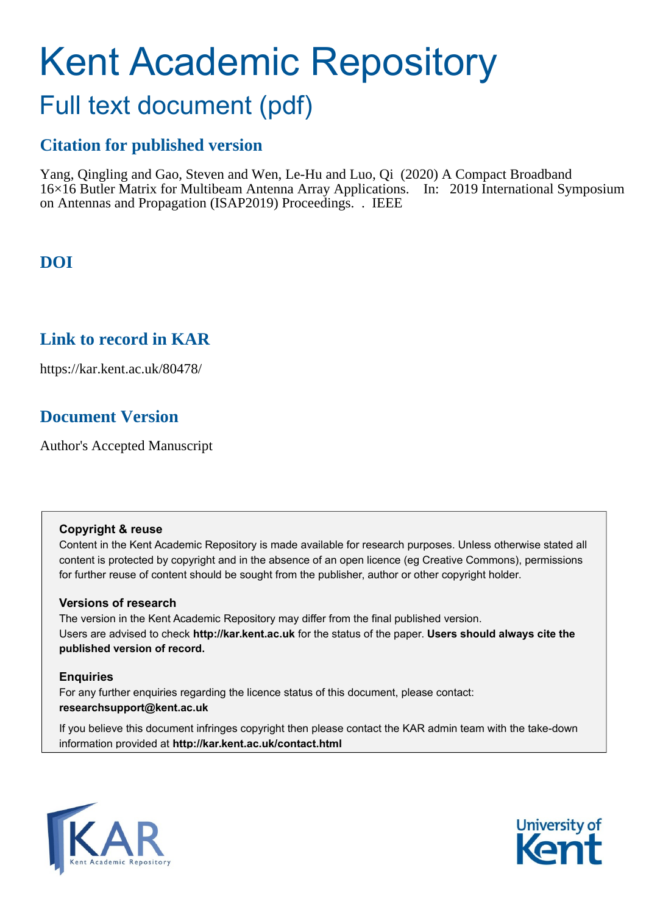# Kent Academic Repository

# Full text document (pdf)

# **Citation for published version**

Yang, Qingling and Gao, Steven and Wen, Le-Hu and Luo, Qi (2020) A Compact Broadband 16×16 Butler Matrix for Multibeam Antenna Array Applications. In: 2019 International Symposium on Antennas and Propagation (ISAP2019) Proceedings. . IEEE

# **DOI**

## **Link to record in KAR**

https://kar.kent.ac.uk/80478/

# **Document Version**

Author's Accepted Manuscript

## **Copyright & reuse**

Content in the Kent Academic Repository is made available for research purposes. Unless otherwise stated all content is protected by copyright and in the absence of an open licence (eg Creative Commons), permissions for further reuse of content should be sought from the publisher, author or other copyright holder.

## **Versions of research**

The version in the Kent Academic Repository may differ from the final published version. Users are advised to check **http://kar.kent.ac.uk** for the status of the paper. **Users should always cite the published version of record.**

## **Enquiries**

For any further enquiries regarding the licence status of this document, please contact: **researchsupport@kent.ac.uk**

If you believe this document infringes copyright then please contact the KAR admin team with the take-down information provided at **http://kar.kent.ac.uk/contact.html**



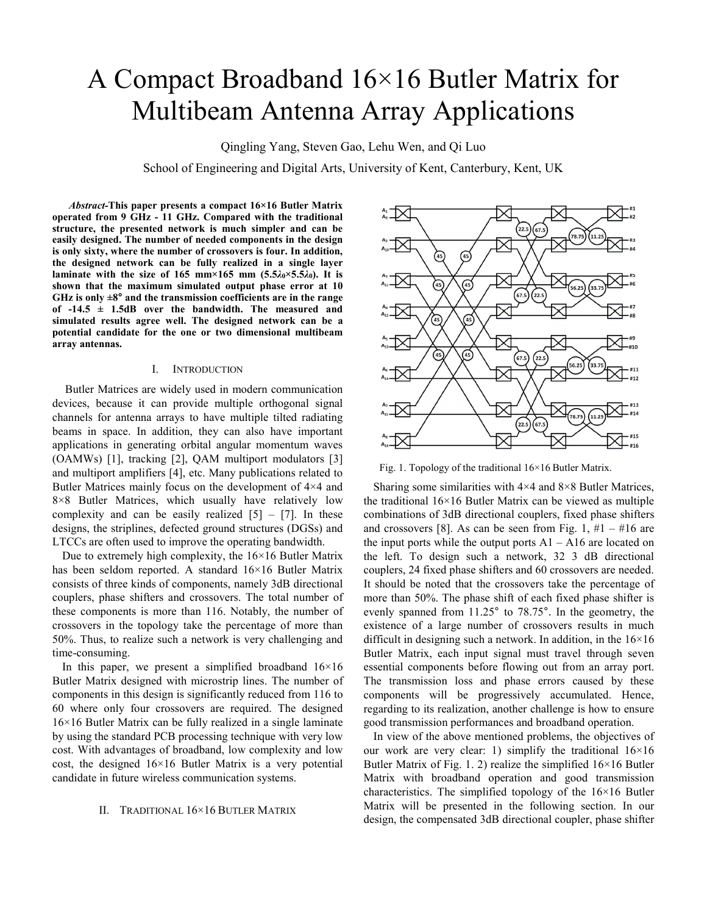# A Compact Broadband 16×16 Butler Matrix for Multibeam Antenna Array Applications

Qingling Yang, Steven Gao, Lehu Wen, and Qi Luo

School of Engineering and Digital Arts, University of Kent, Canterbury, Kent, UK

*Abstract-***This paper presents a compact 16×16 Butler Matrix operated from 9 GHz - 11 GHz. Compared with the traditional structure, the presented network is much simpler and can be easily designed. The number of needed components in the design is only sixty, where the number of crossovers is four. In addition, the designed network can be fully realized in a single layer laminate with the size of 165 mm×165 mm (5.5***λ***0×5.5***λ***0). It is shown that the maximum simulated output phase error at 10**  GHz is only  $\pm 8^\circ$  and the transmission coefficients are in the range **of -14.5 ± 1.5dB over the bandwidth. The measured and simulated results agree well. The designed network can be a potential candidate for the one or two dimensional multibeam array antennas.** 

#### I. INTRODUCTION

 Butler Matrices are widely used in modern communication devices, because it can provide multiple orthogonal signal channels for antenna arrays to have multiple tilted radiating beams in space. In addition, they can also have important applications in generating orbital angular momentum waves (OAMWs) [1], tracking [2], QAM multiport modulators [3] and multiport amplifiers [4], etc. Many publications related to Butler Matrices mainly focus on the development of 4×4 and 8×8 Butler Matrices, which usually have relatively low complexity and can be easily realized  $[5] - [7]$ . In these designs, the striplines, defected ground structures (DGSs) and LTCCs are often used to improve the operating bandwidth.

Due to extremely high complexity, the  $16\times16$  Butler Matrix has been seldom reported. A standard 16×16 Butler Matrix consists of three kinds of components, namely 3dB directional couplers, phase shifters and crossovers. The total number of these components is more than 116. Notably, the number of crossovers in the topology take the percentage of more than 50%. Thus, to realize such a network is very challenging and time-consuming.

In this paper, we present a simplified broadband  $16\times16$ Butler Matrix designed with microstrip lines. The number of components in this design is significantly reduced from 116 to 60 where only four crossovers are required. The designed 16×16 Butler Matrix can be fully realized in a single laminate by using the standard PCB processing technique with very low cost. With advantages of broadband, low complexity and low cost, the designed  $16\times16$  Butler Matrix is a very potential candidate in future wireless communication systems.

#### II. TRADITIONAL 16×16 BUTLER MATRIX



Fig. 1. Topology of the traditional 16×16 Butler Matrix.

Sharing some similarities with  $4\times4$  and  $8\times8$  Butler Matrices, the traditional 16×16 Butler Matrix can be viewed as multiple combinations of 3dB directional couplers, fixed phase shifters and crossovers [8]. As can be seen from Fig. 1,  $#1 - #16$  are the input ports while the output ports  $A1 - A16$  are located on the left. To design such a network, 32 3 dB directional couplers, 24 fixed phase shifters and 60 crossovers are needed. It should be noted that the crossovers take the percentage of more than 50%. The phase shift of each fixed phase shifter is evenly spanned from 11.25° to 78.75°. In the geometry, the existence of a large number of crossovers results in much difficult in designing such a network. In addition, in the  $16\times16$ Butler Matrix, each input signal must travel through seven essential components before flowing out from an array port. The transmission loss and phase errors caused by these components will be progressively accumulated. Hence, regarding to its realization, another challenge is how to ensure good transmission performances and broadband operation.

In view of the above mentioned problems, the objectives of our work are very clear: 1) simplify the traditional 16×16 Butler Matrix of Fig. 1. 2) realize the simplified  $16\times16$  Butler Matrix with broadband operation and good transmission characteristics. The simplified topology of the 16×16 Butler Matrix will be presented in the following section. In our design, the compensated 3dB directional coupler, phase shifter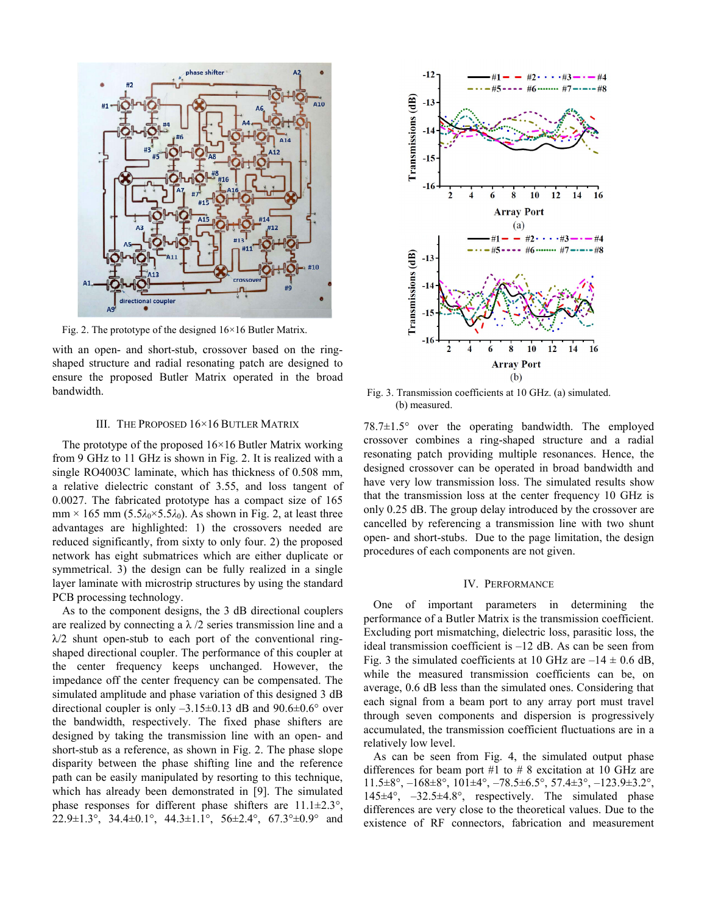

Fig. 2. The prototype of the designed 16×16 Butler Matrix.

with an open- and short-stub, crossover based on the ringshaped structure and radial resonating patch are designed to ensure the proposed Butler Matrix operated in the broad bandwidth.

#### III. THE PROPOSED 16×16 BUTLER MATRIX

The prototype of the proposed  $16\times16$  Butler Matrix working from 9 GHz to 11 GHz is shown in Fig. 2. It is realized with a single RO4003C laminate, which has thickness of 0.508 mm, a relative dielectric constant of 3.55, and loss tangent of 0.0027. The fabricated prototype has a compact size of 165 mm  $\times$  165 mm (5.5 $\lambda_0$  $\times$ 5.5 $\lambda_0$ ). As shown in Fig. 2, at least three advantages are highlighted: 1) the crossovers needed are reduced significantly, from sixty to only four. 2) the proposed network has eight submatrices which are either duplicate or symmetrical. 3) the design can be fully realized in a single layer laminate with microstrip structures by using the standard PCB processing technology.

As to the component designs, the 3 dB directional couplers are realized by connecting a  $\lambda/2$  series transmission line and a  $\lambda/2$  shunt open-stub to each port of the conventional ringshaped directional coupler. The performance of this coupler at the center frequency keeps unchanged. However, the impedance off the center frequency can be compensated. The simulated amplitude and phase variation of this designed 3 dB directional coupler is only  $-3.15\pm0.13$  dB and  $90.6\pm0.6^{\circ}$  over the bandwidth, respectively. The fixed phase shifters are designed by taking the transmission line with an open- and short-stub as a reference, as shown in Fig. 2. The phase slope disparity between the phase shifting line and the reference path can be easily manipulated by resorting to this technique, which has already been demonstrated in [9]. The simulated phase responses for different phase shifters are  $11.1 \pm 2.3$ °, 22.9±1.3°, 34.4±0.1°, 44.3±1.1°, 56±2.4°, 67.3°±0.9° and



Fig. 3. Transmission coefficients at 10 GHz. (a) simulated. (b) measured.

78.7±1.5° over the operating bandwidth. The employed crossover combines a ring-shaped structure and a radial resonating patch providing multiple resonances. Hence, the designed crossover can be operated in broad bandwidth and have very low transmission loss. The simulated results show that the transmission loss at the center frequency 10 GHz is only 0.25 dB. The group delay introduced by the crossover are cancelled by referencing a transmission line with two shunt open- and short-stubs. Due to the page limitation, the design procedures of each components are not given.

#### IV. PERFORMANCE

One of important parameters in determining the performance of a Butler Matrix is the transmission coefficient. Excluding port mismatching, dielectric loss, parasitic loss, the ideal transmission coefficient is –12 dB. As can be seen from Fig. 3 the simulated coefficients at 10 GHz are  $-14 \pm 0.6$  dB, while the measured transmission coefficients can be, on average, 0.6 dB less than the simulated ones. Considering that each signal from a beam port to any array port must travel through seven components and dispersion is progressively accumulated, the transmission coefficient fluctuations are in a relatively low level.

As can be seen from Fig. 4, the simulated output phase differences for beam port #1 to # 8 excitation at 10 GHz are  $11.5\pm8^{\circ}, -168\pm8^{\circ}, 101\pm4^{\circ}, -78.5\pm6.5^{\circ}, 57.4\pm3^{\circ}, -123.9\pm3.2^{\circ}$ 145±4°, –32.5±4.8°, respectively. The simulated phase differences are very close to the theoretical values. Due to the existence of RF connectors, fabrication and measurement